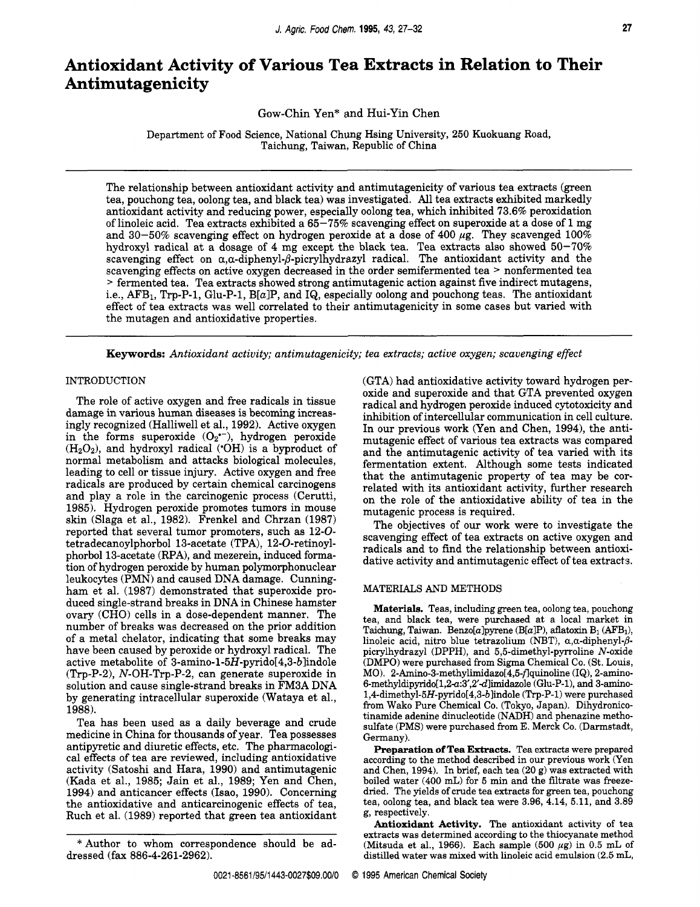# **Antioxidant Activity of Various Tea Extracts in Relation to Their Antimut agenicity**

Gow-Chin Yen\* and Hui-Yin Chen

Department of Food Science, National Chung Hsing University, 250 Kuokuang Road, Taichung, Taiwan, Republic of China

The relationship between antioxidant activity and antimutagenicity of various tea extracts (green tea, pouchong tea, oolong tea, and black tea) was investigated. All tea extracts exhibited markedly antioxidant activity and reducing power, especially oolong tea, which inhibited 73.6% peroxidation of linoleic acid. Tea extracts exhibited a 65-75% scavenging effect on superoxide at a dose of 1 mg and 30-50% scavenging effect on hydrogen peroxide at a dose of 400  $\mu$ g. They scavenged 100% hydroxyl radical at a dosage of 4 mg except the black tea. Tea extracts also showed 50-70% scavenging effect on  $\alpha$ , $\alpha$ -diphenyl- $\beta$ -picrylhydrazyl radical. The antioxidant activity and the scavenging effects on active oxygen decreased in the order semifermented tea > nonfermented tea > fermented tea. Tea extracts showed strong antimutagenic action against five indirect mutagens, i.e., AFB<sub>1</sub>, Trp-P-1, Glu-P-1, B[a]P, and IQ, especially oolong and pouchong teas. The antioxidant effect of tea extracts was well correlated to their antimutagenicity in some cases but varied with the mutagen and antioxidative properties.

**Keywords:** *Antioxidant activity; antimutagenicity; tea extracts; active oxygen; scavenging effect* 

# INTRODUCTION

The role of active oxygen and free radicals in tissue damage in various human diseases is becoming increasingly recognized (Halliwell et al., 1992). Active oxygen in the forms superoxide *(02\*-),* hydrogen peroxide  $(H<sub>2</sub>O<sub>2</sub>)$ , and hydroxyl radical ('OH) is a byproduct of normal metabolism and attacks biological molecules, leading to cell or tissue injury. Active oxygen and free radicals are produced by certain chemical carcinogens and play a role in the carcinogenic process (Cerutti, 1985). Hydrogen peroxide promotes tumors in mouse skin (Slaga et al., 1982). Frenkel and Chrzan (1987) reported that several tumor promoters, such as 12-0 tetradecanoylphorbol 13-acetate (TPA), 12-0-retinoylphorbol 13-acetate (RPA), and mezerein, induced formation of hydrogen peroxide by human polymorphonuclear leukocytes (PMN) and caused DNA damage. Cunningham et al. (1987) demonstrated that superoxide produced single-strand breaks in DNA in Chinese hamster ovary (CHO) cells in a dose-dependent manner. The number of breaks was decreased on the prior addition of a metal chelator, indicating that some breaks may have been caused by peroxide or hydroxyl radical. The active metabolite of **3-amino-l-5H-pyrido[4,3-blindole**   $(Trp-P-2)$ , N-OH-Trp-P-2, can generate superoxide in solution and cause single-strand breaks in FM3A DNA by generating intracellular superoxide (Wataya et al., 1988).

Tea has been used as a daily beverage and crude medicine in China for thousands of year. Tea possesses antipyretic and diuretic effects, etc. The pharmacological effects of tea are reviewed, including antioxidative activity (Satoshi and Hara, 1990) and antimutagenic (Kada et al., 1985; Jain et al., 1989; Yen and Chen, 1994) and anticancer effects (Isao, 1990). Concerning the antioxidative and anticarcinogenic effects of tea, Ruch et al. (1989) reported that green tea antioxidant

(GTA) had antioxidative activity toward hydrogen peroxide and superoxide and that GTA prevented oxygen radical and hydrogen peroxide induced cytotoxicity and inhibition of intercellular communication in cell culture. In our previous work (Yen and Chen, 1994), the antimutagenic effect of various tea extracts was compared and the antimutagenic activity of tea varied with its fermentation extent. Although some tests indicated that the antimutagenic property of tea may be correlated with its antioxidant activity, further research on the role of the antioxidative ability of tea in the mutagenic process is required.

The objectives of our work were to investigate the scavenging effect of tea extracts on active oxygen and radicals and to find the relationship between antioxidative activity and antimutagenic effect of tea extracts.

#### MATERIALS AND METHODS

**Materials.** Teas, including green tea, oolong tea, pouchong tea, and black tea, were purchased at a local market in Taichung, Taiwan. Benzo[a]pyrene (B[a]P), aflatoxin B<sub>1</sub> (AFB<sub>1</sub>), linoleic acid, nitro blue tetrazolium (NBT),  $\alpha$ , $\alpha$ -diphenyl- $\beta$ picrylhydrazyl (DPPH), and 5,5-dimethyl-pyrroline N-oxide (DMPO) were purchased from Sigma Chemical Co. (St. **Louis,**  MO). **2-Amin0-3-methylimidazo[4,5-flquinoline** (IQ), 2-amino-6-methyldipyrido $[1,2-a:3',2'd]$ imidazole (Glu-P-1), and 3-amino-**174-dimethyl-5H-pyrido[4,3-b]indole** (Trp-P-1) were purchased from Wako Pure Chemical Co. (Tokyo, Japan). Dihydronicotinamide adenine dinucleotide (NADH) and phenazine methosulfate (PMS) were purchased from E. Merck Co. (Darmstadt, Germany).

**Preparation of Tea Extracts. Tea** extracts were prepared according to the method described in our previous work (Yen and Chen, 1994). In brief, each tea (20 g) was extracted with boiled water (400 mL) for **5** min and the filtrate was freezedried. The yields of crude tea extracts for green tea, pouchong tea, oolong tea, and black tea were 3.96, 4.14, 5.11, and 3.89 g, respectively.

**Antioxidant Activity.** The antioxidant activity of tea extracts was determined according to the thiocyanate method (Mitsuda et al., 1966). Each sample  $(500 \ \mu g)$  in  $0.5 \text{ mL of}$ distilled water was mixed with linoleic acid emulsion (2.5 mL,

<sup>\*</sup>Author to whom correspondence should be addressed (fax 886-4-261-2962).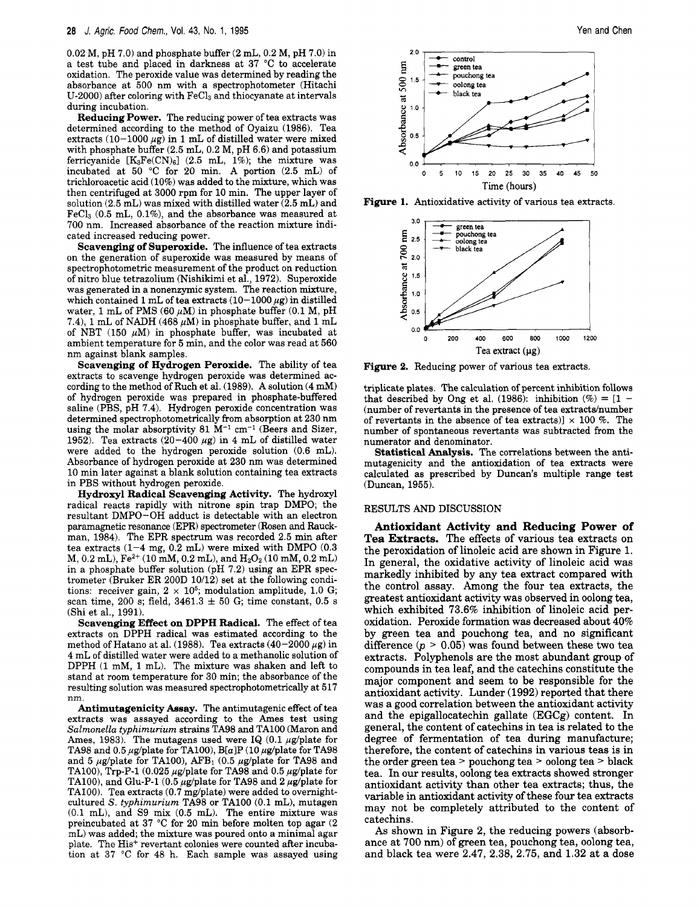$0.02$  M, pH 7.0) and phosphate buffer  $(2 \text{ mL}, 0.2 \text{ M}, \text{pH}$  7.0) in a test tube and placed in darkness at 37 "C to accelerate oxidation. The peroxide value was determined by reading the absorbance at 500 nm with a spectrophotometer (Hitachi U-2000) after coloring with  $\text{FeCl}_3$  and thiocyanate at intervals during incubation.<br>**Reducing Power.** The reducing power of tea extracts was

determined according to the method of Oyaizu (1986). Tea extracts  $(10-1000 \mu g)$  in 1 mL of distilled water were mixed with phosphate buffer **(2.5** mL, 0.2 **M,** pH 6.6) and potassium ferricyanide  $[K_3Fe(CN)_6]$  (2.5 mL, 1%); the mixture was incubated at 50 "C for 20 min. **A** portion (2.5 mL) of trichloroacetic acid (10%) was added to the mixture, which was then centrifuged at 3000 rpm for 10 min. The upper layer of solution  $(2.5 \text{ mL})$  was mixed with distilled water  $(2.5 \text{ mL})$  and  $FeCl<sub>3</sub>$  (0.5 mL, 0.1%), and the absorbance was measured at 700 nm. Increased absorbance of the reaction mixture indicated increased reducing power.

**Scavenging of Superoxide.** The influence of tea extracts on the generation of superoxide was measured by means of spectrophotometric measurement of the product on reduction of nitro blue tetrazolium (Nishikimi et al., 1972). Superoxide was generated in a nonenzymic system. The reaction mixture, which contained 1 mL of tea extracts  $(10-1000 \mu g)$  in distilled water, 1 mL of PMS (60  $\mu$ M) in phosphate buffer (0.1 M, pH 7.4), 1 mL of NADH (468  $\mu$ M) in phosphate buffer, and 1 mL of NBT (150  $\mu$ M) in phosphate buffer, was incubated at ambient temperature for **5** min, and the color was read at 560 nm against blank samples.

**Scavenging of Hydrogen Peroxide.** The ability of tea extracts to scavenge hydrogen peroxide was determined according to the method of Ruch et al. (1989). A solution (4 mM) of hydrogen peroxide was prepared in phosphate-buffered saline (PBS, pH 7.4). Hydrogen peroxide concentration was determined spectrophotometrically from absorption at 230 nm using the molar absorptivity 81  $M^{-1}$  cm<sup>-1</sup> (Beers and Sizer, 1952). Tea extracts  $(20-400 \ \mu g)$  in 4 mL of distilled water were added to the hydrogen peroxide solution (0.6 mL). Absorbance of hydrogen peroxide at **230** nm was determined 10 min later against a blank solution containing tea extracts in PBS without hydrogen peroxide.

**Hydroxyl Radical Scavenging Activity.** The hydroxyl radical reacts rapidly with nitrone spin trap DMPO; the resultant DMPO-OH adduct is detectable with an electron paramagnetic resonance (EPR) spectrometer (Rosen and Rauckman, 1984). The EPR spectrum was recorded 2.5 min after tea extracts  $(1-4 \text{ mg}, 0.2 \text{ mL})$  were mixed with DMPO  $(0.3$ M, 0.2 mL), Fez+ (10 **mM,** 0.2 mL), and HzOz (10 mM, 0.2 mL) in a phosphate buffer solution (pH 7.2) using an EPR spectrometer (Bruker ER 200D 10/12) set at the following conditions: receiver gain,  $2 \times 10^5$ ; modulation amplitude, 1.0 G; scan time, 200 s; field,  $3461.3 \pm 50$  G; time constant, 0.5 s (Shi et al., 1991).

**Scavenging Effect on DPPH Radical.** The effect of tea extracts on DPPH radical was estimated according to the method of Hatano at al. (1988). Tea extracts  $(40-2000 \mu g)$  in 4 mL of distilled water were added to a methanolic solution of DPPH (1 mM, 1 mL). The mixture was shaken and left to stand at room temperature for **30** min; the absorbance of the resulting solution was measured spectrophotometrically at 517 nm.

**Antimutagenicity Assay.** The antimutagenic effect of tea extracts was assayed according to the Ames test using *Salmonella typhimurium* strains TA98 and TAlOO (Maron and Ames, 1983). The mutagens used were IQ  $(0.1 \mu g/\text{plate for})$ TA98 and 0.5  $\mu$ g/plate for TA100), B[a]P (10  $\mu$ g/plate for TA98 and 5  $\mu$ g/plate for TA100), AFB<sub>1</sub> (0.5  $\mu$ g/plate for TA98 and TA100), Trp-P-1 (0.025  $\mu$ g/plate for TA98 and 0.5  $\mu$ g/plate for TA100), and Glu-P-1 (0.5  $\mu$ g/plate for TA98 and 2  $\mu$ g/plate for TA100). Tea extracts  $(0.7 \text{ mg/plate})$  were added to overnightcultured *s. typhimurium* TA98 or TAlOO (0.1 mL), mutagen (0.1 mL), and S9 mix (0.5 mL). The entire mixture was preincubated at 37 "C for 20 min before molten top agar (2 mL) was added; the mixture was poured onto a minimal agar plate. The His<sup>+</sup> revertant colonies were counted after incubation at 37 *"C* for 48 h. Each sample was assayed using





**Figure 2.** Reducing power of various tea extracts.

triplicate plates. The calculation of percent inhibition follows that described by Ong et al. (1986): inhibition (%) =  $[1 -$ (number of revertants in the presence of tea extracts/number of revertants in the absence of tea extracts)]  $\times$  100 %. The number of spontaneous revertants was subtracted from the numerator and denominator.

**Statistical Analysis.** The correlations between the antimutagenicity and the antioxidation of tea extracts were calculated as prescribed by Duncan's multiple range test (Duncan, 1955).

#### RESULTS AND DISCUSSION

**Antioxidant Activity and Reducing Power of Tea Extracts.** The effects of various tea extracts on the peroxidation of linoleic acid are shown in Figure 1. In general, the oxidative activity of linoleic acid was markedly inhibited by any tea extract compared with the control assay. Among the four tea extracts, the greatest antioxidant activity was observed in oolong tea, which exhibited **73.6%** inhibition of linoleic acid peroxidation. Peroxide formation was decreased about **40%**  by green tea and pouchong tea, and no significant difference  $(p > 0.05)$  was found between these two tea extracts. Polyphenols are the most abundant group of compounds in tea leaf, and the catechins constitute the major component and seem to be responsible for the antioxidant activity. Lunder **(1992)** reported that there was a good correlation between the antioxidant activity and the epigallocatechin gallate (EGCg) content. In general, the content of catechins in tea is related to the degree of fermentation of tea during manufacture; therefore, the content of catechins in various teas is in the order green tea > pouchong tea > oolong tea > black tea. In our results, oolong tea extracts showed stronger antioxidant activity than other tea extracts; thus, the variable in antioxidant activity of these four tea extracts may not be completely attributed to the content of catechins.

**As** shown in Figure **2,** the reducing powers (absorbance at **700** nm) of green tea, pouchong tea, oolong tea, and black tea were **2.47, 2.38, 2.75,** and **1.32** at a dose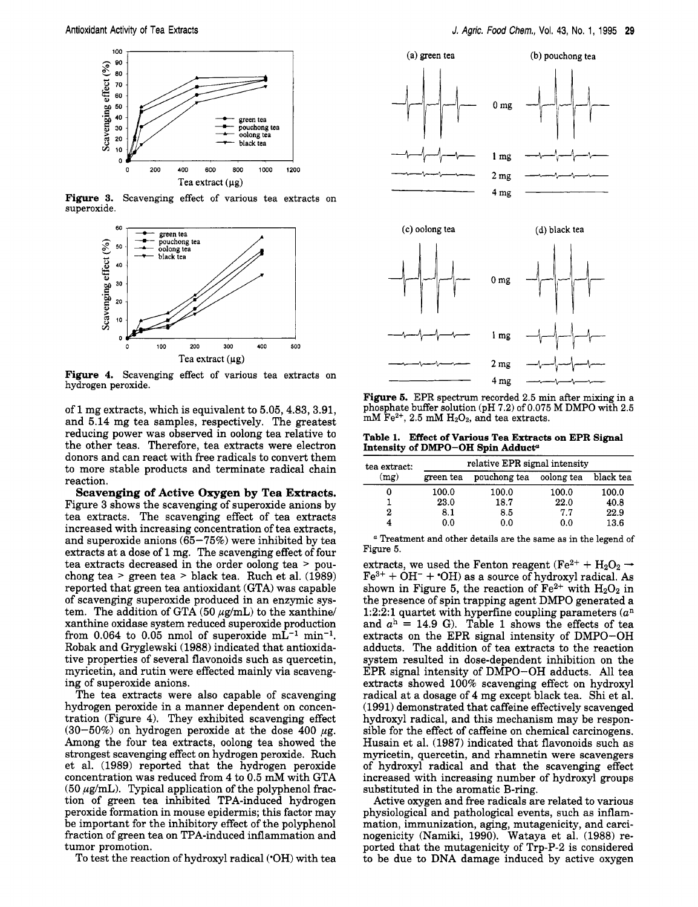

**Figure 3.** Scavenging effect of various tea extracts on superoxide.



**Figure 4.** Scavenging effect of various tea extracts on hydrogen peroxide.

of 1 mg extracts, which is equivalent to 5.05,4.83, 3.91, and 5.14 mg tea samples, respectively. The greatest reducing power was observed in oolong tea relative to the other teas. Therefore, tea extracts were electron donors and can react with free radicals to convert them to more stable products and terminate radical chain reaction.

**Scavenging of Active Oxygen by Tea Extracts.**  Figure 3 shows the scavenging of superoxide anions by tea extracts. The scavenging effect of tea extracts increased with increasing concentration of tea extracts, and superoxide anions  $(65-75%)$  were inhibited by tea extracts at a dose of 1 mg. The scavenging effect of four tea extracts decreased in the order oolong tea > pouchong tea > green tea > black tea. Ruch et al. (1989) reported that green tea antioxidant (GTA) was capable of scavenging superoxide produced in an enzymic system. The addition of GTA  $(50 \mu g/mL)$  to the xanthine/ xanthine oxidase system reduced superoxide production from  $0.064$  to  $0.05$  nmol of superoxide  $mL^{-1}$  min<sup>-1</sup>. Robak and Gryglewski (1988) indicated that antioxidative properties of several flavonoids such as quercetin, myricetin, and rutin were effected mainly via scavenging of superoxide anions.

The tea extracts were also capable of scavenging hydrogen peroxide in a manner dependent on concentration (Figure 4). They exhibited scavenging effect (30-50%) on hydrogen peroxide at the dose 400  $\mu$ g. Among the four tea extracts, oolong tea showed the strongest scavenging effect on hydrogen peroxide. Ruch et al. (1989) reported that the hydrogen peroxide concentration was reduced from 4 to **0.5 mM** with GTA  $(50 \mu g/mL)$ . Typical application of the polyphenol fraction of green tea inhibited TPA-induced hydrogen peroxide formation in mouse epidermis; this factor may be important for the inhibitory effect of the polyphenol fraction of green tea on TPA-induced inflammation and tumor promotion.

To test the reaction of hydroxyl radical ('OH) with tea



**Figure 5.** EPR spectrum recorded 2.5 min after mixing in a phosphate buffer solution **(pH** 7.2) of 0.075 **M DMPO** with **2.5**  mM Fez+, **2.5** mM **HzOz,** and tea extracts.

**Table 1. Effect of Various Tea Extracts on EPR Signal Intensity of DMPO-OH Spin Adduct?** 

| tea extract:<br>(mg) | relative EPR signal intensity |              |            |           |  |  |
|----------------------|-------------------------------|--------------|------------|-----------|--|--|
|                      | green tea                     | pouchong tea | oolong tea | black tea |  |  |
| 0                    | 100.0                         | 100.0        | 100.0      | 100.0     |  |  |
|                      | 23.0                          | 18.7         | 22.0       | 40.8      |  |  |
| 2                    | 8.1                           | 8.5          | 7.7        | 22.9      |  |  |
| 4                    | 0.0                           | 0.0          | 0.0        | 13.6      |  |  |

*<sup>a</sup>*Treatment and other details are the same as in the legend of Figure **5.** 

extracts, we used the Fenton reagent (Fe<sup>2+</sup> + H<sub>2</sub>O<sub>2</sub>  $\rightarrow$  $Fe^{3+} + OH^- + OH$ ) as a source of hydroxyl radical. As shown in Figure 5, the reaction of  $Fe^{2+}$  with  $H_2O_2$  in the presence of spin trapping agent DMPO generated a 1:2:2:1 quartet with hyperfine coupling parameters  $(a<sup>n</sup>$ and  $a<sup>h</sup> = 14.9$  G). Table 1 shows the effects of tea extracts on the EPR signal intensity of DMPO-OH adducts. The addition of tea extracts to the reaction system resulted in dose-dependent inhibition on the EPR signal intensity of DMPO-OH adducts. All tea extracts showed 100% scavenging effect on hydroxyl radical at a dosage of 4 mg except black tea. Shi et al. (1991) demonstrated that caffeine effectively scavenged hydroxyl radical, and this mechanism may be responsible for the effect of caffeine on chemical carcinogens. Husain et al. (1987) indicated that flavonoids such as myricetin, quercetin, and rhamnetin were scavengers of hydroxyl radical and that the scavenging effect increased with increasing number of hydroxyl groups substituted in the aromatic B-ring.

Active oxygen and free radicals are related to various physiological and pathological events, such as inflammation, immunization, aging, mutagenicity, and carcinogenicity (Namiki, 1990). Wataya et al. (1988) reported that the mutagenicity of Trp-P-2 is considered to be due to DNA damage induced by active oxygen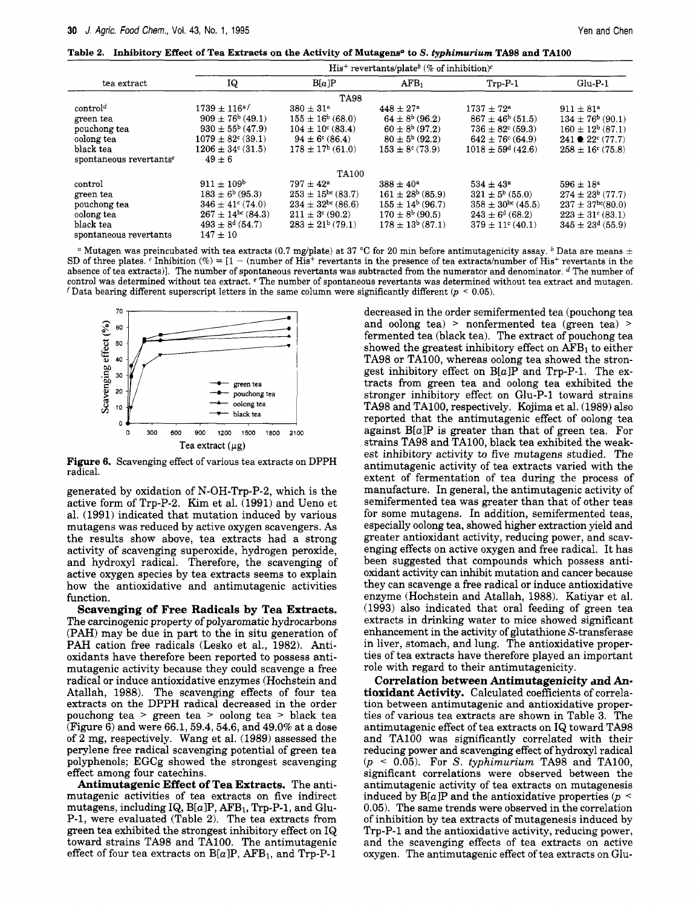|  |  |  |  |  |  |  | Table 2. Inhibitory Effect of Tea Extracts on the Activity of Mutagens <sup>a</sup> to S. typhimurium TA98 and TA100 |  |  |
|--|--|--|--|--|--|--|----------------------------------------------------------------------------------------------------------------------|--|--|
|--|--|--|--|--|--|--|----------------------------------------------------------------------------------------------------------------------|--|--|

|                                                                                           | $His^+$ revertants/plate <sup>b</sup> (% of inhibition) <sup>c</sup>                                                                                        |                                                                                                                                                 |                                                                                                                                  |                                                                                                                                                  |                                                                                                                                                          |  |  |
|-------------------------------------------------------------------------------------------|-------------------------------------------------------------------------------------------------------------------------------------------------------------|-------------------------------------------------------------------------------------------------------------------------------------------------|----------------------------------------------------------------------------------------------------------------------------------|--------------------------------------------------------------------------------------------------------------------------------------------------|----------------------------------------------------------------------------------------------------------------------------------------------------------|--|--|
| tea extract                                                                               | IQ                                                                                                                                                          | B[a]P                                                                                                                                           | AFB <sub>1</sub>                                                                                                                 | $Trp-P-1$                                                                                                                                        | $Glu-P-1$                                                                                                                                                |  |  |
| <b>TA98</b>                                                                               |                                                                                                                                                             |                                                                                                                                                 |                                                                                                                                  |                                                                                                                                                  |                                                                                                                                                          |  |  |
| control <sup>d</sup><br>green tea<br>pouchong tea<br>oolong tea<br>black tea              | $1739 \pm 116$ <sup>a f</sup><br>$909 \pm 76^{\rm b}$ (49.1)<br>$930 \pm 55^{\circ}$ (47.9)<br>$1079 \pm 82^{\circ}$ (39.1)<br>$1206 \pm 34^{\circ}$ (31.5) | $380 \pm 31^{\circ}$<br>$155 \pm 16^{\circ}$ (68.0)<br>$104 \pm 10^{\circ}$ (83.4)<br>$94 \pm 6^{\circ}$ (86.4)<br>$178 \pm 17^b$ (61.0)        | $448 \pm 27^{\rm a}$<br>$64 \pm 8^{b}$ (96.2)<br>$60 \pm 8^b$ (97.2)<br>$80 \pm 5^{b}$ (92.2)<br>$153 \pm 8$ <sup>c</sup> (73.9) | $1737 + 72^a$<br>$867 \pm 46^{b}$ (51.5)<br>$736 \pm 82^{\circ}$ (59.3)<br>$642 \pm 76^{\circ}$ (64.9)<br>$1018 \pm 59^{\circ}$ (42.6)           | $911 \pm 81^{\circ}$<br>$134 \pm 76^b$ (90.1)<br>$160 \pm 12^{b} (87.1)$<br>$241 \bullet 22^c (77.7)$<br>$258 \pm 16$ <sup>c</sup> (75.8)                |  |  |
| spontaneous revertants <sup>e</sup>                                                       | $49 \pm 6$                                                                                                                                                  |                                                                                                                                                 |                                                                                                                                  |                                                                                                                                                  |                                                                                                                                                          |  |  |
|                                                                                           |                                                                                                                                                             | TA100                                                                                                                                           |                                                                                                                                  |                                                                                                                                                  |                                                                                                                                                          |  |  |
| control<br>green tea<br>pouchong tea<br>oolong tea<br>black tea<br>spontaneous revertants | $911 \pm 109^{\rm b}$<br>$183 \pm 6^{b}$ (95.3)<br>$346 \pm 41$ <sup>c</sup> (74.0)<br>$267 \pm 14^{bc}$ (84.3)<br>$493 \pm 8^d$ (54.7)<br>$147 \pm 10$     | $797 \pm 42^{\circ}$<br>$253 \pm 15^{\rm bc}$ (83.7)<br>$234 \pm 32^{\circ}$ (86.6)<br>$211 \pm 3$ <sup>c</sup> (90.2)<br>$283 \pm 21^b$ (79.1) | $388 \pm 40^a$<br>$161 \pm 28^b$ (85.9)<br>$155 \pm 14^b$ (96.7)<br>$170 \pm 8^{b}$ (90.5)<br>$178 \pm 13^{b}$ (87.1)            | $534 \pm 43^{\circ}$<br>$321 \pm 5^{\rm b}$ (55.0)<br>$358 \pm 30^{bc}$ (45.5)<br>$243 \pm 6^{\circ}$ (68.2)<br>$379 \pm 11$ <sup>c</sup> (40.1) | $596 \pm 18^{\circ}$<br>$274 \pm 23^{\circ}$ (77.7)<br>$237 \pm 37$ <sup>bc</sup> $(80.0)$<br>$223 \pm 31^{\circ} (83.1)$<br>$345 \pm 23^{\circ}$ (55.9) |  |  |

<sup>a</sup> Mutagen was preincubated with tea extracts (0.7 mg/plate) at 37 °C for 20 min before antimutagenicity assay. <sup>b</sup> Data are means  $\pm$ SD of three plates. <sup>c</sup> Inhibition  $\mathcal{C}_0 = [1 - \text{(number of His}^+]$  revertants in the presence of tea extracts/number of His<sup>+</sup> revertants in the absence of tea extracts)]. The number of spontaneous revertants was subtracted from the numerator and denominator. <sup>d</sup> The number of control was determined without tea extract. *e* The number of spontaneous revertants was determined without tea extract and mutagen. *f* Data bearing different superscript letters in the same column were significantly different ( $p < 0.05$ ).



**Figure 6.** Scavenging effect of various tea extracts on DPPH radical.

generated by oxidation of N-OH-Trp-P-2, which is the active form of Trp-P-2. Kim et al. (1991) and Ueno et al. (1991) indicated that mutation induced by various mutagens was reduced by active oxygen scavengers. As the results show above, tea extracts had a strong activity of scavenging superoxide, hydrogen peroxide, and hydroxyl radical. Therefore, the scavenging of active oxygen species by tea extracts seems to explain how the antioxidative and antimutagenic activities function.

**Scavenging of Free Radicals by Tea Extracts.**  The carcinogenic property of polyaromatic hydrocarbons (PAH) may be due in part to the in situ generation of PAH cation free radicals (Lesko et al., 1982). Antioxidants have therefore been reported to possess antimutagenic activity because they could scavenge a free radical or induce antioxidative enzymes (Hochstein and Atallah, 1988). The scavenging effects of four tea extracts on the DPPH radical decreased in the order pouchong tea > green tea > oolong tea > black tea (Figure 6) and were 66.1, 59.4, 54.6, and 49.0% at a dose of 2 mg, respectively. Wang et al. (1989) assessed the perylene free radical scavenging potential of green tea polyphenols; EGCg showed the strongest scavenging effect among four catechins.

**Antimutagenic Effect of Tea Extracts.** The antimutagenic activities of tea extracts on five indirect mutagens, including IQ,  $B[a]P$ ,  $AFB_1$ , Trp-P-1, and Glu-P-1, were evaluated (Table **2).** The tea extracts from green tea exhibited the strongest inhibitory effect on I& toward strains TA98 and TA100. The antimutagenic effect of four tea extracts on  $B[a]P$ , AFB<sub>1</sub>, and Trp-P-1

decreased in the order semifermented tea (pouchong tea and oolong tea) > nonfermented tea (green tea) > fermented tea (black tea). The extract of pouchong tea showed the greatest inhibitory effect on  $\overline{AFB_1}$  to either TA98 or TA100, whereas oolong tea showed the strongest inhibitory effect on  $B[a]P$  and Trp-P-1. The extracts from green tea and oolong tea exhibited the stronger inhibitory effect on Glu-P-1 toward strains TA98 and TA100, respectively. Kojima et al. (1989) also reported that the antimutagenic effect of oolong tea against  $B[a]P$  is greater than that of green tea. For strains TA98 and TA100, black tea exhibited the weakest inhibitory activity to five mutagens studied. The antimutagenic activity of tea extracts varied with the extent of fermentation of tea during the process of manufacture. In general, the antimutagenic activity of semifermented tea was greater than that of other teas for some mutagens. In addition, semifermented teas, especially oolong tea, showed higher extraction yield and greater antioxidant activity, reducing power, and scavenging effects on active oxygen and free radical. It has been suggested that compounds which possess antioxidant activity can inhibit mutation and cancer because they can scavenge a free radical or induce antioxidative enzyme (Hochstein and Atallah, 1988). Katiyar et al. (1993) also indicated that oral feeding of green tea extracts in drinking water to mice showed significant enhancement in the activity of glutathione S-transferase in liver, stomach, and lung. The antioxidative properties of tea extracts have therefore played an important role with regard to their antimutagenicity.

**Correlation between Antimutagenicity and Antioxidant Activity.** Calculated coefficients of correlation between antimutagenic and antioxidative properties of various tea extracts are shown in Table 3. The antimutagenic effect of tea extracts on IQ toward TA98 and **TAlOO** was significantly correlated with their reducing power and scavenging effect of hydroxyl radical *(p* < 0.05). For *S. typhimurium* TA98 and TA100, significant correlations were observed between the antimutagenic activity of tea extracts on mutagenesis induced by  $B[a]P$  and the antioxidative properties ( $p \leq$ 0.05). The same trends were observed in the correlation of inhibition by tea extracts of mutagenesis induced by Trp-P-1 and the antioxidative activity, reducing power, and the scavenging effects of tea extracts on active oxygen. The antimutagenic effect of tea extracts on Glu-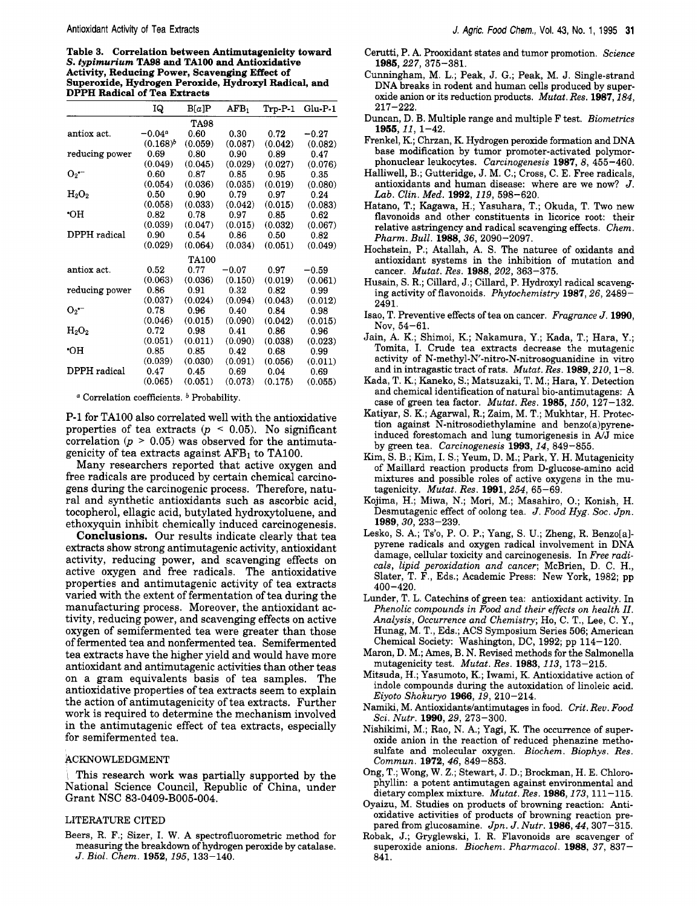**Table 3. Correlation between Antimutagenicity toward**  *S. typimurium* **TA98 and TAlOO and Antioxidative Activity, Reducing Power, Scavenging Effect of Superoxide, Hydrogen Peroxide, Hydroxyl Radical, and DPPH Radical of Tea Extracts** 

|                | IQ.         | B[a]P        | $AFB_1$ | Trp-P-1 | $Glu-P-1$ |
|----------------|-------------|--------------|---------|---------|-----------|
|                |             | <b>TA98</b>  |         |         |           |
| antiox act.    | $-0.04^a$   | 0.60         | 0.30    | 0.72    | $-0.27$   |
|                | $(0.168)^b$ | (0.059)      | (0.087) | (0.042) | (0.082)   |
| reducing power | 0.69        | 0.80         | 0.90    | 0.89    | 0.47      |
|                | (0.049)     | (0.045)      | (0.029) | (0.027) | (0.076)   |
| $O_2$ –        | 0.60        | 0.87         | 0.85    | 0.95    | 0.35      |
|                | (0.054)     | (0.036)      | (0.035) | (0.019) | (0.080)   |
| $\rm H_2O_2$   | 0.50        | 0.90         | 0.79    | 0.97    | 0.24      |
|                | (0.058)     | (0.033)      | (0.042) | (0.015) | (0.083)   |
| ٠OН            | 0.82        | 0.78         | 0.97    | 0.85    | 0.62      |
|                | (0.039)     | (0.047)      | (0.015) | (0.032) | (0.067)   |
| DPPH radical   | 0.90        | 0.54         | 0.86    | 0.50    | 0.82      |
|                | (0.029)     | (0.064)      | (0.034) | (0.051) | (0.049)   |
|                |             | <b>TA100</b> |         |         |           |
| antiox act.    | 0.52        | 0.77         | $-0.07$ | 0.97    | $-0.59$   |
|                | (0.063)     | (0.036)      | (0.150) | (0.019) | (0.061)   |
| reducing power | 0.86        | 0.91         | 0.32    | 0.82    | 0.99      |
|                | (0.037)     | (0.024)      | (0.094) | (0.043) | (0.012)   |
| $O_2$ –        | 0.78        | 0.96         | 0.40    | 0.84    | 0.98      |
|                | (0.046)     | (0.015)      | (0.090) | (0.042) | (0.015)   |
| $H_2O_2$       | 0.72        | 0.98         | 0.41    | 0.86    | 0.96      |
|                | (0.051)     | (0.011)      | (0.090) | (0.038) | (0.023)   |
| ٠OH            | 0.85        | 0.85         | 0.42    | 0.68    | 0.99      |
|                | (0.039)     | (0.030)      | (0.091) | (0.056) | (0.011)   |
| DPPH radical   | 0.47        | 0.45         | 0.69    | 0.04    | 0.69      |
|                | (0.065)     | (0.051)      | (0.073) | (0.175) | (0.055)   |

<sup>a</sup> Correlation coefficients. <sup>b</sup> Probability.

P-1 for TAlOO also correlated well with the antioxidative properties of tea extracts ( $p < 0.05$ ). No significant correlation  $(p > 0.05)$  was observed for the antimutagenicity of tea extracts against **AFBl** to TA100.

Many researchers reported that active oxygen and free radicals are produced by certain chemical carcinogens during the carcinogenic process. Therefore, natural and synthetic antioxidants such as ascorbic acid, tocopherol, ellagic acid, butylated hydroxytoluene, and ethoxyquin inhibit chemically induced carcinogenesis.

**Conclusions.** Our results indicate clearly that tea extracts show strong antimutagenic activity, antioxidant activity, reducing power, and scavenging effects on active oxygen and free radicals. The antioxidative properties and antimutagenic activity of tea extracts varied with the extent of fermentation of tea during the manufacturing process. Moreover, the antioxidant activity, reducing power, and scavenging effects on active oxygen of semifermented tea were greater than those of fermented tea and nonfermented tea. Semifermented tea extracts have the higher yield and would have more antioxidant and antimutagenic activities than other teas on a gram equivalents basis of tea samples. The antioxidative properties of tea extracts seem to explain the action of antimutagenicity of tea extracts. Further **work** is required to determine the mechanism involved in the antimutagenic effect of tea extracts, especially for semifermented tea.

### ACKNOWLEDGMENT

, This research work was partially supported by the National Science Council, Republic of China, under Grant NSC **83-0409-B005-004.** 

## LITERATURE CITED

Beers, R. F.; Sizer, I. W. A spectrofluorometric method for measuring the breakdown of hydrogen peroxide by catalase. J. Biol. Chem. **1952,195,** 133-140.

- Cerutti, P. A. Prooxidant states and tumor promotion. Science **1985,227,** 375-381.
- Cunningham, M. L.; Peak, J. G.; Peak, M. J. Single-strand DNA breaks in rodent and human cells produced by superoxide anion or its reduction products. Mutat. Res. 1987, 184, 217-222.
- Duncan, D. B. Multiple range and multiple F test. Biometrics **1955,11,** 1-42.
- Frenkel, K.; Chrzan, K. Hydrogen peroxide formation and DNA base modification by tumor promoter-activated polymorphonuclear leukocytes. Carcinogenesis **1987, 8,** 455-460.
- Halliwell, B.; Gutteridge, J. M. C.; Cross, C. E. Free radicals, antioxidants and human disease: where are we now? J. *Lab.* Clin. Med. **1992, 119,** 598-620.
- Hatano, T.; Kagawa, H.; Yasuhara, T.; Okuda, T. Two new flavonoids and other constituents in licorice root: their relative astringency and radical scavenging effects. Chem. Pharm. Bull. **1988,36,** 2090-2097.
- Hochstein, P.; Atallah, A. S. The naturee of oxidants and antioxidant systems in the inhibition of mutation and cancer. Mutat. Res. **1988,202,** 363-375.
- Husain, **S.** R.; Cillard, J.; Cillard, P. Hydroxyl radical scavenging activity of flavonoids. Phytochemistry **1987,26,2489-**  2491.
- Isao, T. Preventive effects of tea on cancer. Fragrance J. **1990,**  Nov,  $54-61$ .
- Jain, A. K.; Shimoi, K.; Nakamura, Y.; Kada, T.; Hara, Y.; Tomita, I. Crude tea extracts decrease the mutagenic activity of **N-methyl-N-nitro-N-nitrosoguanidine** in vitro and in intragastic tract of rats. Mutat. Res. **1989,210,** 1-8.
- Kada, T. K.; Kaneko, S.; Matsuzaki, T. M.; Hara, Y. Detection and chemical identification of natural bio-antimutagens: A case of green tea factor. Mutat. Res. **1985, 150,** 127-132.
- Katiyar, S. K.; Agarwal, R.; Zaim, M. T.; Mukhtar, H. Protection against N-nitrosodiethylamine and benzo(a)pyreneinduced forestomach and lung tumorigenesis in  $A/J$  mice by green tea. Carcinogenesis **1993, 14,** 849-855.
- Kim, S. B.; Kim, I. S.; Yeum, D. M.; Park, Y. H. Mutagenicity of Maillard reaction products from D-glucose-amino acid mixtures and possible roles of active oxygens in the mutagenicity. Mutat. Res. **1991,254,** 65-69.
- Kojima, H.; Miwa, N.; Mori, M.; Masahiro, *0.;* Konish, H. Desmutagenic effect of oolong tea. J. Food Hyg. Soc. Jpn. **1989,30,** 233-239.
- Lesko, S. A.; Ts'o, P. 0. P.; Yang, S. U.; Zheng, R. Benzo[a] pyrene radicals and oxygen radical involvement in DNA damage, cellular toxicity and carcinogenesis. In Free radicals, lipid peroxidation and cancer; McBrien, D. C. H., Slater, T. F., Eds.; Academic Press: New York, 1982; pp 400-420.
- Lunder, T. L. Catechins of green tea: antioxidant activity. In Phenolic compounds in Food and their effects on health *II.*  Analysis, Occurrence and Chemistry; Ho, C. T., Lee, C. Y., Hunag, M. T., Eds.; ACS Symposium Series 506; American Chemical Society: Washington, DC, 1992; pp 114-120.
- Maron, D. M.; Ames, B. N. Revised methods for the Salmonella mutagenicity test. Mutat. Res. **1983, 113,** 173-215.
- Mitsuda, H.; Yasumoto, K.; Iwami, K. Antioxidative action of indole compounds during the autoxidation of linoleic acid. Eiyoto Shokuryo **1966,19,** 210-214.
- Namiki, M. **Antioxidants/antimutages** in food. Crit. Rev. Food Sci. Nutr. **1990, 29,** 273-300.
- Nishikimi, M.; Rao, N. A.; Yagi, K. The occurrence of superoxide anion in the reaction of reduced phenazine methosulfate and molecular oxygen. Biochem. Biophys. Res. Commun. **1972,46,** 849-853.
- Ong, T.; Wong, W. Z.; Stewart, J. D.; Brockman, H. E. Chlorophyllin: a potent antimutagen against environmental and dietary complex mixture. Mutat. Res. **1986,173,** 111-115.
- Oyaizu, M. Studies on products of browning reaction: Antioxidative activities of products of browning reaction prepared from glucosamine. Jpn. J. Nutr. **1986,44,307-315.**
- Robak, J.; Gryglewski, I. R. Flavonoids are scavenger of superoxide anions. Biochem. Pharmacol. **1988, 37,** 837- **841.**